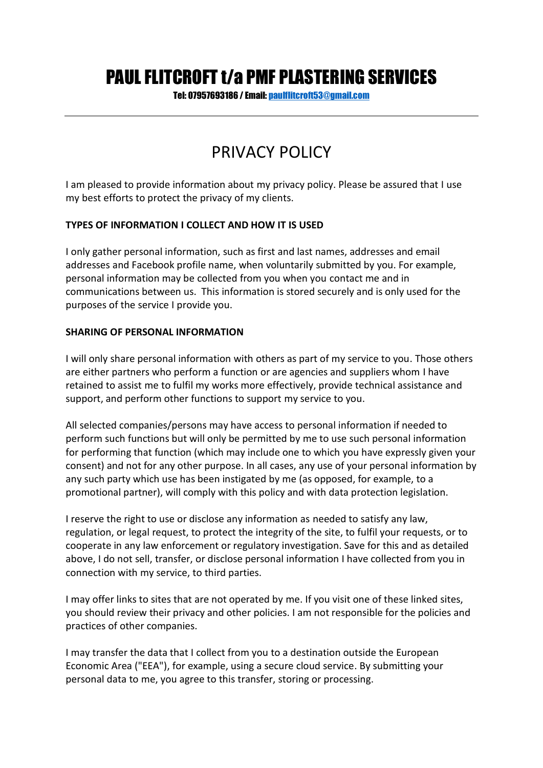# PAUL FLITCROFT t/a PMF PLASTERING SERVICES

Tel: 07957693186 / Email[: paulflitcroft53@gmail.com](mailto:paulflitcroft53@gmail.com)

## PRIVACY POLICY

I am pleased to provide information about my privacy policy. Please be assured that I use my best efforts to protect the privacy of my clients.

### **TYPES OF INFORMATION I COLLECT AND HOW IT IS USED**

I only gather personal information, such as first and last names, addresses and email addresses and Facebook profile name, when voluntarily submitted by you. For example, personal information may be collected from you when you contact me and in communications between us. This information is stored securely and is only used for the purposes of the service I provide you.

#### **SHARING OF PERSONAL INFORMATION**

I will only share personal information with others as part of my service to you. Those others are either partners who perform a function or are agencies and suppliers whom I have retained to assist me to fulfil my works more effectively, provide technical assistance and support, and perform other functions to support my service to you.

All selected companies/persons may have access to personal information if needed to perform such functions but will only be permitted by me to use such personal information for performing that function (which may include one to which you have expressly given your consent) and not for any other purpose. In all cases, any use of your personal information by any such party which use has been instigated by me (as opposed, for example, to a promotional partner), will comply with this policy and with data protection legislation.

I reserve the right to use or disclose any information as needed to satisfy any law, regulation, or legal request, to protect the integrity of the site, to fulfil your requests, or to cooperate in any law enforcement or regulatory investigation. Save for this and as detailed above, I do not sell, transfer, or disclose personal information I have collected from you in connection with my service, to third parties.

I may offer links to sites that are not operated by me. If you visit one of these linked sites, you should review their privacy and other policies. I am not responsible for the policies and practices of other companies.

I may transfer the data that I collect from you to a destination outside the European Economic Area ("EEA"), for example, using a secure cloud service. By submitting your personal data to me, you agree to this transfer, storing or processing.